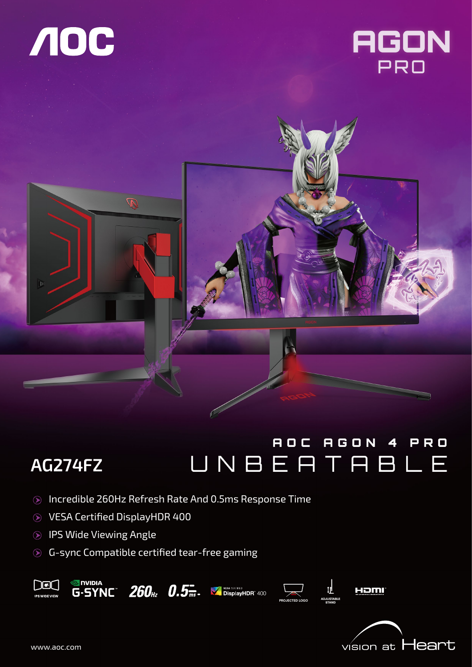





# AOC AGON 4 PRO UNBEATABLE

- Incredible 260Hz Refresh Rate And 0.5ms Response Time
- VESA Certified DisplayHDR 400
- IPS Wide Viewing Angle

**AG274FZ** 

G-sync Compatible certified tear-free gaming